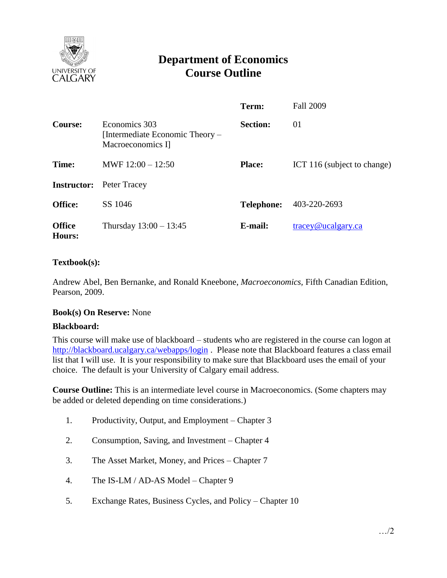

# **Department of Economics Course Outline**

|                         |                                                                       | Term:             | <b>Fall 2009</b>                         |
|-------------------------|-----------------------------------------------------------------------|-------------------|------------------------------------------|
| <b>Course:</b>          | Economics 303<br>[Intermediate Economic Theory –<br>Macroeconomics I] | <b>Section:</b>   | 01                                       |
| Time:                   | MWF $12:00 - 12:50$                                                   | <b>Place:</b>     | ICT 116 (subject to change)              |
| <b>Instructor:</b>      | Peter Tracey                                                          |                   |                                          |
| <b>Office:</b>          | SS 1046                                                               | <b>Telephone:</b> | 403-220-2693                             |
| <b>Office</b><br>Hours: | Thursday $13:00 - 13:45$                                              | E-mail:           | $trace\$ <sub><i>Q</i></sub> ucalgary.ca |

# **Textbook(s):**

Andrew Abel, Ben Bernanke, and Ronald Kneebone, *Macroeconomics,* Fifth Canadian Edition, Pearson, 2009.

## **Book(s) On Reserve:** None

#### **Blackboard:**

This course will make use of blackboard – students who are registered in the course can logon at <http://blackboard.ucalgary.ca/webapps/login>. Please note that Blackboard features a class email list that I will use. It is your responsibility to make sure that Blackboard uses the email of your choice. The default is your University of Calgary email address.

**Course Outline:** This is an intermediate level course in Macroeconomics. (Some chapters may be added or deleted depending on time considerations.)

- 1. Productivity, Output, and Employment Chapter 3
- 2. Consumption, Saving, and Investment Chapter 4
- 3. The Asset Market, Money, and Prices Chapter 7
- 4. The IS-LM / AD-AS Model Chapter 9
- 5. Exchange Rates, Business Cycles, and Policy Chapter 10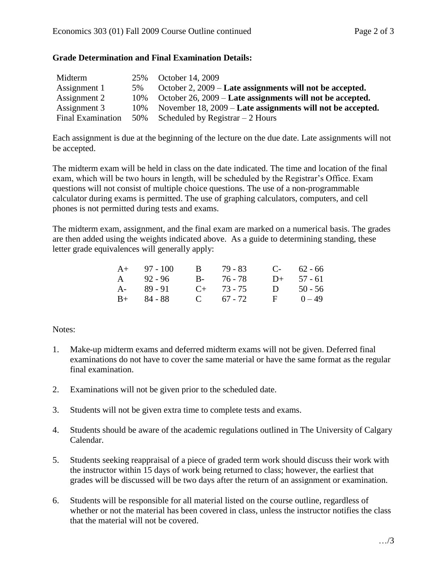# **Grade Determination and Final Examination Details:**

| Midterm                  | 25% | October 14, 2009                                           |
|--------------------------|-----|------------------------------------------------------------|
| Assignment 1             | 5%  | October 2, 2009 – Late assignments will not be accepted.   |
| Assignment 2             | 10% | October 26, 2009 – Late assignments will not be accepted.  |
| Assignment 3             | 10% | November 18, 2009 – Late assignments will not be accepted. |
| <b>Final Examination</b> |     | 50% Scheduled by Registrar $-2$ Hours                      |

Each assignment is due at the beginning of the lecture on the due date. Late assignments will not be accepted.

The midterm exam will be held in class on the date indicated. The time and location of the final exam, which will be two hours in length, will be scheduled by the Registrar's Office. Exam questions will not consist of multiple choice questions. The use of a non-programmable calculator during exams is permitted. The use of graphing calculators, computers, and cell phones is not permitted during tests and exams.

The midterm exam, assignment, and the final exam are marked on a numerical basis. The grades are then added using the weights indicated above. As a guide to determining standing, these letter grade equivalences will generally apply:

| $A+ 97 - 100$ |  |                                                         | $C-$ 62 - 66 |
|---------------|--|---------------------------------------------------------|--------------|
| $A = 92 - 96$ |  |                                                         | $D+$ 57 - 61 |
| $A - 89 - 91$ |  |                                                         | D $50 - 56$  |
| $B+ 84 - 88$  |  | $\mathbf{F}$                                            | $0 - 49$     |
|               |  | B 79 - 83<br>B- 76-78<br>$C_{+}$ 73 - 75<br>C $67 - 72$ |              |

## Notes:

- 1. Make-up midterm exams and deferred midterm exams will not be given. Deferred final examinations do not have to cover the same material or have the same format as the regular final examination.
- 2. Examinations will not be given prior to the scheduled date.
- 3. Students will not be given extra time to complete tests and exams.
- 4. Students should be aware of the academic regulations outlined in The University of Calgary Calendar.
- 5. Students seeking reappraisal of a piece of graded term work should discuss their work with the instructor within 15 days of work being returned to class; however, the earliest that grades will be discussed will be two days after the return of an assignment or examination.
- 6. Students will be responsible for all material listed on the course outline, regardless of whether or not the material has been covered in class, unless the instructor notifies the class that the material will not be covered.